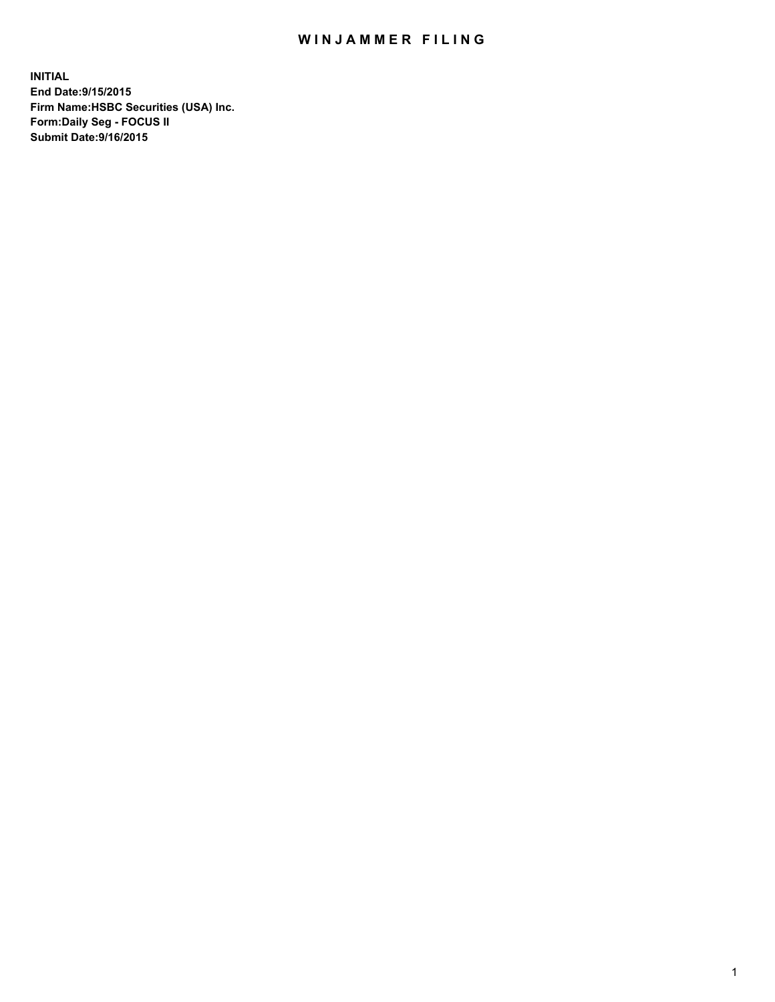## WIN JAMMER FILING

**INITIAL End Date:9/15/2015 Firm Name:HSBC Securities (USA) Inc. Form:Daily Seg - FOCUS II Submit Date:9/16/2015**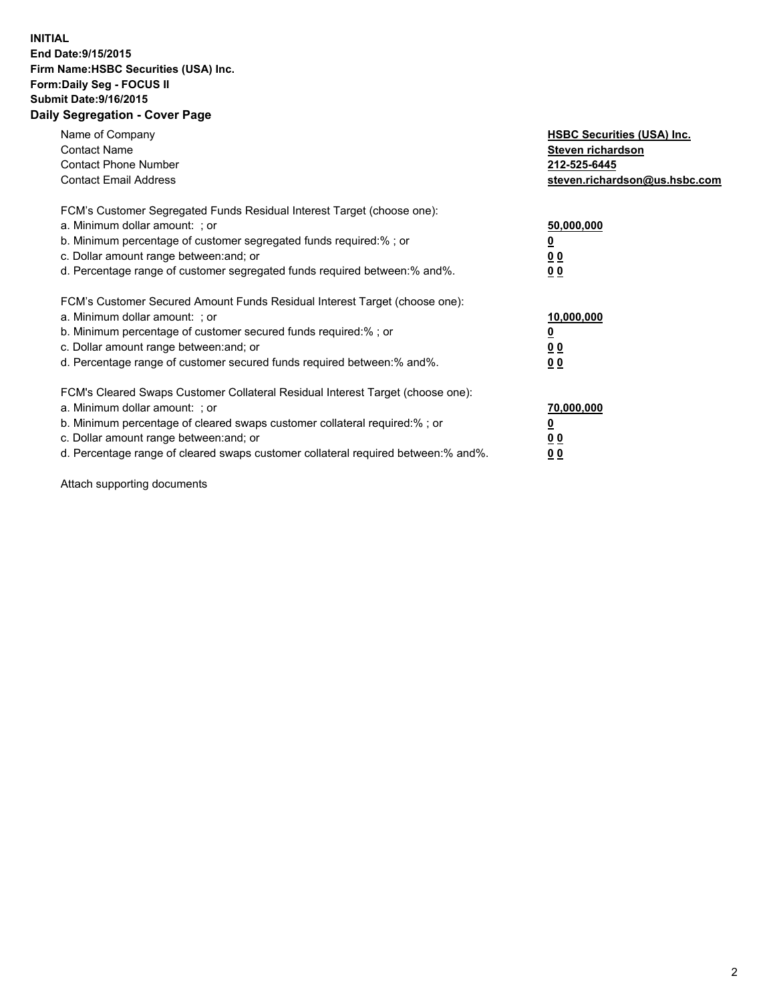## **INITIAL End Date:9/15/2015 Firm Name:HSBC Securities (USA) Inc. Form:Daily Seg - FOCUS II Submit Date:9/16/2015 Daily Segregation - Cover Page**

| Name of Company<br><b>Contact Name</b><br><b>Contact Phone Number</b><br><b>Contact Email Address</b>                                                                                                                                                                                                                          | <b>HSBC Securities (USA) Inc.</b><br>Steven richardson<br>212-525-6445<br>steven.richardson@us.hsbc.com |
|--------------------------------------------------------------------------------------------------------------------------------------------------------------------------------------------------------------------------------------------------------------------------------------------------------------------------------|---------------------------------------------------------------------------------------------------------|
| FCM's Customer Segregated Funds Residual Interest Target (choose one):<br>a. Minimum dollar amount: ; or<br>b. Minimum percentage of customer segregated funds required:%; or<br>c. Dollar amount range between: and; or<br>d. Percentage range of customer segregated funds required between: % and %.                        | 50,000,000<br>0 <sub>0</sub><br>0 <sub>0</sub>                                                          |
| FCM's Customer Secured Amount Funds Residual Interest Target (choose one):<br>a. Minimum dollar amount: ; or<br>b. Minimum percentage of customer secured funds required:%; or<br>c. Dollar amount range between: and; or<br>d. Percentage range of customer secured funds required between:% and%.                            | 10,000,000<br><u>0</u><br>0 <sub>0</sub><br>0 <sub>0</sub>                                              |
| FCM's Cleared Swaps Customer Collateral Residual Interest Target (choose one):<br>a. Minimum dollar amount: ; or<br>b. Minimum percentage of cleared swaps customer collateral required:% ; or<br>c. Dollar amount range between: and; or<br>d. Percentage range of cleared swaps customer collateral required between:% and%. | 70,000,000<br>00<br><u>00</u>                                                                           |

Attach supporting documents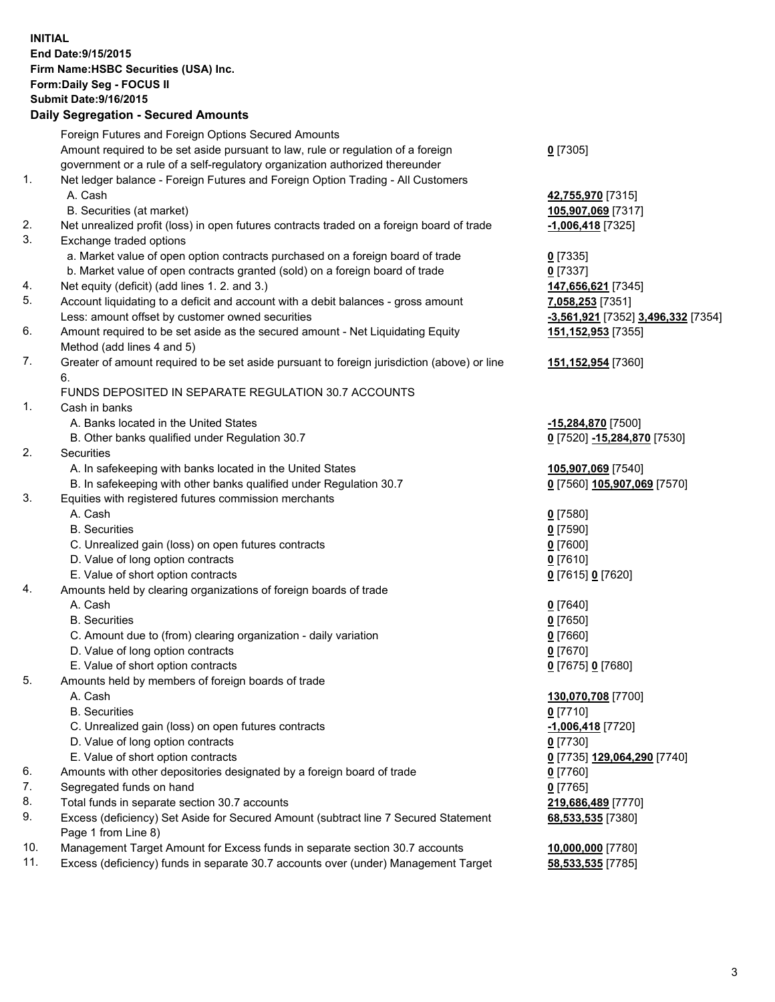**INITIAL End Date:9/15/2015 Firm Name:HSBC Securities (USA) Inc. Form:Daily Seg - FOCUS II Submit Date:9/16/2015 Daily Segregation - Secured Amounts**

Foreign Futures and Foreign Options Secured Amounts Amount required to be set aside pursuant to law, rule or regulation of a foreign government or a rule of a self-regulatory organization authorized thereunder **0** [7305] 1. Net ledger balance - Foreign Futures and Foreign Option Trading - All Customers A. Cash **42,755,970** [7315] B. Securities (at market) **105,907,069** [7317] 2. Net unrealized profit (loss) in open futures contracts traded on a foreign board of trade **-1,006,418** [7325] 3. Exchange traded options a. Market value of open option contracts purchased on a foreign board of trade **0** [7335] b. Market value of open contracts granted (sold) on a foreign board of trade **0** [7337] 4. Net equity (deficit) (add lines 1. 2. and 3.) **147,656,621** [7345] 5. Account liquidating to a deficit and account with a debit balances - gross amount **7,058,253** [7351] Less: amount offset by customer owned securities **-3,561,921** [7352] **3,496,332** [7354] 6. Amount required to be set aside as the secured amount - Net Liquidating Equity Method (add lines 4 and 5) **151,152,953** [7355] 7. Greater of amount required to be set aside pursuant to foreign jurisdiction (above) or line 6. **151,152,954** [7360] FUNDS DEPOSITED IN SEPARATE REGULATION 30.7 ACCOUNTS 1. Cash in banks A. Banks located in the United States **-15,284,870** [7500] B. Other banks qualified under Regulation 30.7 **0** [7520] **-15,284,870** [7530] 2. Securities A. In safekeeping with banks located in the United States **105,907,069** [7540] B. In safekeeping with other banks qualified under Regulation 30.7 **0** [7560] **105,907,069** [7570] 3. Equities with registered futures commission merchants A. Cash **0** [7580] B. Securities **0** [7590] C. Unrealized gain (loss) on open futures contracts **0** [7600] D. Value of long option contracts **0** [7610] E. Value of short option contracts **0** [7615] **0** [7620] 4. Amounts held by clearing organizations of foreign boards of trade A. Cash **0** [7640] B. Securities **0** [7650] C. Amount due to (from) clearing organization - daily variation **0** [7660] D. Value of long option contracts **0** [7670] E. Value of short option contracts **0** [7675] **0** [7680] 5. Amounts held by members of foreign boards of trade A. Cash **130,070,708** [7700] B. Securities **0** [7710] C. Unrealized gain (loss) on open futures contracts **-1,006,418** [7720] D. Value of long option contracts **0** [7730] E. Value of short option contracts **0** [7735] **129,064,290** [7740] 6. Amounts with other depositories designated by a foreign board of trade **0** [7760] 7. Segregated funds on hand **0** [7765] 8. Total funds in separate section 30.7 accounts **219,686,489** [7770] 9. Excess (deficiency) Set Aside for Secured Amount (subtract line 7 Secured Statement Page 1 from Line 8) **68,533,535** [7380] 10. Management Target Amount for Excess funds in separate section 30.7 accounts **10,000,000** [7780] 11. Excess (deficiency) funds in separate 30.7 accounts over (under) Management Target **58,533,535** [7785]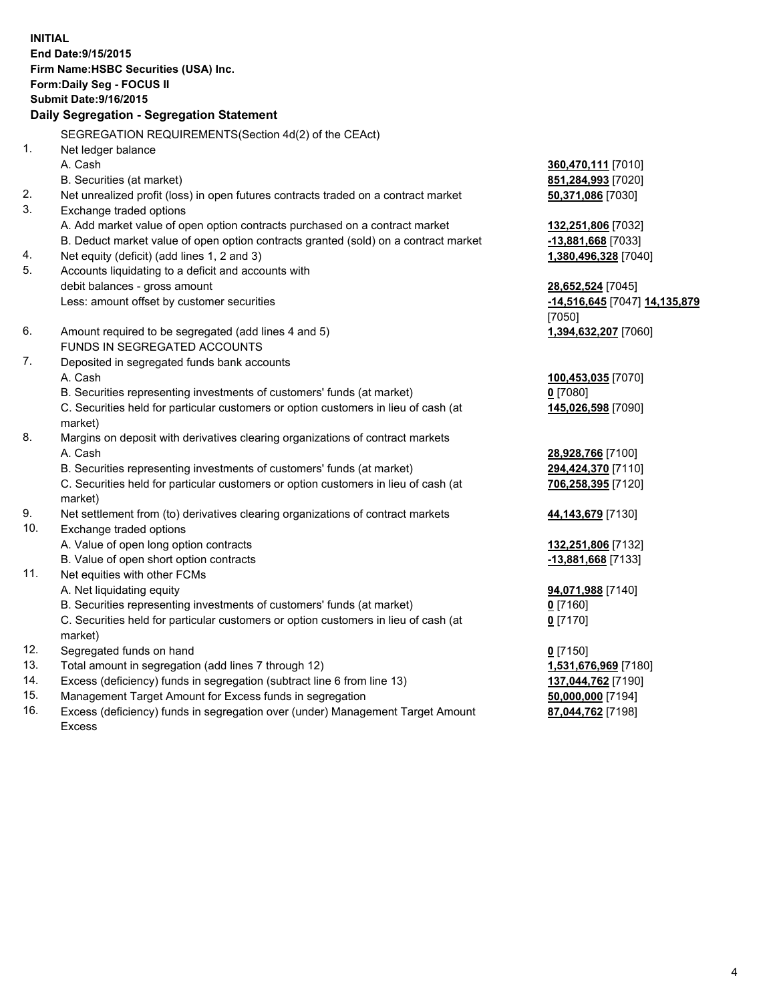| <b>INITIAL</b>                        |                                                                                                            |                                          |  |  |  |  |
|---------------------------------------|------------------------------------------------------------------------------------------------------------|------------------------------------------|--|--|--|--|
| End Date: 9/15/2015                   |                                                                                                            |                                          |  |  |  |  |
| Firm Name: HSBC Securities (USA) Inc. |                                                                                                            |                                          |  |  |  |  |
| Form: Daily Seg - FOCUS II            |                                                                                                            |                                          |  |  |  |  |
| <b>Submit Date: 9/16/2015</b>         |                                                                                                            |                                          |  |  |  |  |
|                                       | Daily Segregation - Segregation Statement                                                                  |                                          |  |  |  |  |
|                                       | SEGREGATION REQUIREMENTS(Section 4d(2) of the CEAct)                                                       |                                          |  |  |  |  |
| 1.                                    | Net ledger balance                                                                                         |                                          |  |  |  |  |
|                                       | A. Cash                                                                                                    | 360,470,111 [7010]                       |  |  |  |  |
|                                       | B. Securities (at market)                                                                                  | 851,284,993 [7020]                       |  |  |  |  |
| 2.                                    | Net unrealized profit (loss) in open futures contracts traded on a contract market                         | 50,371,086 [7030]                        |  |  |  |  |
| 3.                                    | Exchange traded options                                                                                    |                                          |  |  |  |  |
|                                       | A. Add market value of open option contracts purchased on a contract market                                | 132,251,806 [7032]                       |  |  |  |  |
|                                       | B. Deduct market value of open option contracts granted (sold) on a contract market                        | 13,881,668 [7033]                        |  |  |  |  |
| 4.                                    | Net equity (deficit) (add lines 1, 2 and 3)                                                                | 1,380,496,328 [7040]                     |  |  |  |  |
| 5.                                    | Accounts liquidating to a deficit and accounts with                                                        |                                          |  |  |  |  |
|                                       | debit balances - gross amount                                                                              | 28,652,524 [7045]                        |  |  |  |  |
|                                       | Less: amount offset by customer securities                                                                 | -14,516,645 [7047] 14,135,879            |  |  |  |  |
|                                       |                                                                                                            | [7050]                                   |  |  |  |  |
| 6.                                    | Amount required to be segregated (add lines 4 and 5)                                                       | 1,394,632,207 [7060]                     |  |  |  |  |
|                                       | FUNDS IN SEGREGATED ACCOUNTS                                                                               |                                          |  |  |  |  |
| 7.                                    | Deposited in segregated funds bank accounts                                                                |                                          |  |  |  |  |
|                                       | A. Cash                                                                                                    | 100,453,035 [7070]                       |  |  |  |  |
|                                       | B. Securities representing investments of customers' funds (at market)                                     | $0$ [7080]                               |  |  |  |  |
|                                       | C. Securities held for particular customers or option customers in lieu of cash (at                        | 145,026,598 [7090]                       |  |  |  |  |
|                                       | market)                                                                                                    |                                          |  |  |  |  |
| 8.                                    | Margins on deposit with derivatives clearing organizations of contract markets                             |                                          |  |  |  |  |
|                                       | A. Cash                                                                                                    | 28,928,766 [7100]                        |  |  |  |  |
|                                       | B. Securities representing investments of customers' funds (at market)                                     | 294,424,370 [7110]                       |  |  |  |  |
|                                       | C. Securities held for particular customers or option customers in lieu of cash (at                        | 706,258,395 [7120]                       |  |  |  |  |
| 9.                                    | market)                                                                                                    |                                          |  |  |  |  |
| 10.                                   | Net settlement from (to) derivatives clearing organizations of contract markets<br>Exchange traded options | 44, 143, 679 [7130]                      |  |  |  |  |
|                                       | A. Value of open long option contracts                                                                     |                                          |  |  |  |  |
|                                       | B. Value of open short option contracts                                                                    | 132,251,806 [7132]<br>-13,881,668 [7133] |  |  |  |  |
| 11.                                   | Net equities with other FCMs                                                                               |                                          |  |  |  |  |
|                                       | A. Net liquidating equity                                                                                  | 94,071,988 [7140]                        |  |  |  |  |
|                                       | B. Securities representing investments of customers' funds (at market)                                     | $0$ [7160]                               |  |  |  |  |
|                                       | C. Securities held for particular customers or option customers in lieu of cash (at                        | $0$ [7170]                               |  |  |  |  |
|                                       | market)                                                                                                    |                                          |  |  |  |  |
| 12.                                   | Segregated funds on hand                                                                                   | $0$ [7150]                               |  |  |  |  |
| 13.                                   | Total amount in segregation (add lines 7 through 12)                                                       | 1,531,676,969 [7180]                     |  |  |  |  |
| 14.                                   | Excess (deficiency) funds in segregation (subtract line 6 from line 13)                                    | 137,044,762 [7190]                       |  |  |  |  |
| 15.                                   | Management Target Amount for Excess funds in segregation                                                   | 50,000,000 [7194]                        |  |  |  |  |
| 16.                                   | Excess (deficiency) funds in segregation over (under) Management Target Amount                             | 87,044,762 [7198]                        |  |  |  |  |
|                                       |                                                                                                            |                                          |  |  |  |  |

16. Excess (deficiency) funds in segregation over (under) Management Target Amount Excess